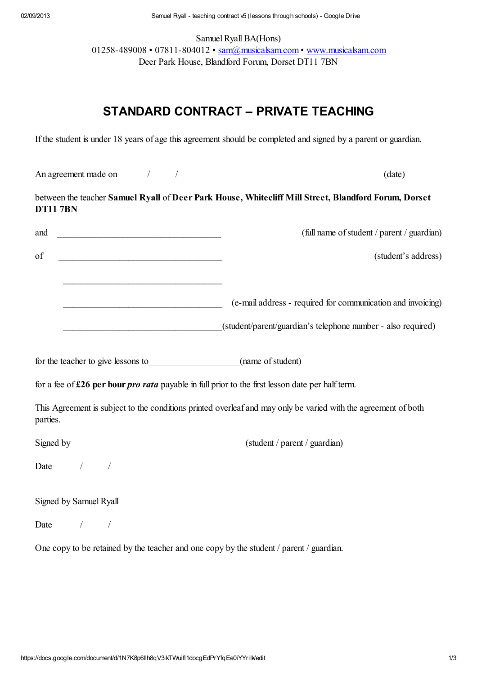Samuel Ryall BA(Hons) 01258-489008 • 07811-804012 • [sam@musicalsam.com](mailto:sam@musicalsam.com) • [www.musicalsam.com](http://www.google.com/url?q=http%3A%2F%2Fwww.musicalsam.com&sa=D&sntz=1&usg=AFQjCNHixfmuvaIPtbmxApC7EfjNakmUfQ) Deer Park House, Blandford Forum, Dorset DT11 7BN

# STANDARD CONTRACT – PRIVATE TEACHING

If the student is under 18 years of age this agreement should be completed and signed by a parent or guardian.

An agreement made on  $/$  /  $/$  (date)

between the teacher Samuel Ryall of Deer Park House, Whitecliff Mill Street, Blandford Forum, Dorset DT11 7BN

| and<br><u> 1980 - Johann John Stone, mars an deus Amerikaansk kommunister (</u>         | (full name of student / parent / guardian)                                                                                  |
|-----------------------------------------------------------------------------------------|-----------------------------------------------------------------------------------------------------------------------------|
| of<br><u> 1989 - Johann John Barn, mars eta bainar eta hiri (h. 19</u>                  | (student's address)                                                                                                         |
|                                                                                         | (e-mail address - required for communication and invoicing)<br>(student/parent/guardian's telephone number - also required) |
|                                                                                         |                                                                                                                             |
|                                                                                         | for a fee of £26 per hour <i>pro rata</i> payable in full prior to the first lesson date per half term.                     |
| parties.                                                                                | This Agreement is subject to the conditions printed overleaf and may only be varied with the agreement of both              |
| Signed by                                                                               | (student / parent / guardian)                                                                                               |
| Date $/$ /                                                                              |                                                                                                                             |
| Signed by Samuel Ryall                                                                  |                                                                                                                             |
| Date<br>$\sqrt{2}$                                                                      |                                                                                                                             |
| One copy to be retained by the teacher and one copy by the student / parent / guardian. |                                                                                                                             |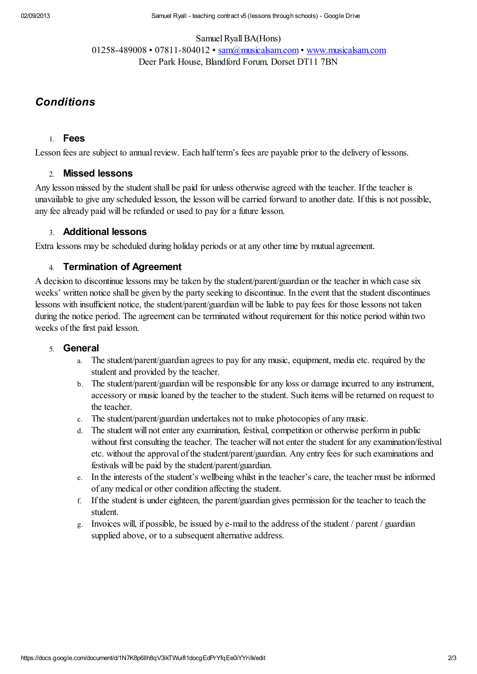#### Samuel Ryall BA(Hons)

01258-489008 • 07811-804012 • [sam@musicalsam.com](mailto:sam@musicalsam.com) • [www.musicalsam.com](http://www.google.com/url?q=http%3A%2F%2Fwww.musicalsam.com&sa=D&sntz=1&usg=AFQjCNHixfmuvaIPtbmxApC7EfjNakmUfQ) Deer Park House, Blandford Forum, Dorset DT11 7BN

## **Conditions**

#### 1. Fees

Lesson fees are subject to annual review. Each half term's fees are payable prior to the delivery of lessons.

#### 2. Missed lessons

Any lesson missed by the student shall be paid for unless otherwise agreed with the teacher. If the teacher is unavailable to give any scheduled lesson, the lesson will be carried forward to another date. If this is not possible, any fee already paid will be refunded or used to pay for a future lesson.

### 3. Additional lessons

Extra lessons may be scheduled during holiday periods or at any other time by mutual agreement.

### 4. Termination of Agreement

A decision to discontinue lessons may be taken by the student/parent/guardian or the teacher in which case six weeks' written notice shall be given by the party seeking to discontinue. In the event that the student discontinues lessons with insufficient notice, the student/parent/guardian will be liable to pay fees for those lessons not taken during the notice period. The agreement can be terminated without requirement for this notice period within two weeks of the first paid lesson.

### 5. General

- a. The student/parent/guardian agrees to pay for any music, equipment, media etc. required by the student and provided by the teacher.
- b. The student/parent/guardian will be responsible for any loss or damage incurred to any instrument, accessory or music loaned by the teacher to the student. Such items will be returned on request to the teacher.
- c. The student/parent/guardian undertakes not to make photocopies of any music.
- d. The student will not enter any examination, festival, competition or otherwise perform in public without first consulting the teacher. The teacher will not enter the student for any examination/festival etc. without the approval of the student/parent/guardian. Any entry fees for such examinations and festivals will be paid by the student/parent/guardian.
- e. In the interests of the student's wellbeing whilst in the teacher's care, the teacher must be informed of any medical or other condition affecting the student.
- f. If the student is under eighteen, the parent/guardian gives permission for the teacher to teach the student.
- g. Invoices will, if possible, be issued by e-mail to the address of the student / parent / guardian supplied above, or to a subsequent alternative address.